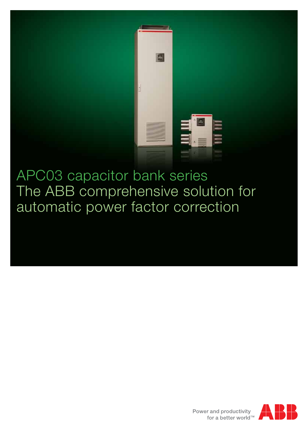

APC03 capacitor bank series The ABB comprehensive solution for automatic power factor correction

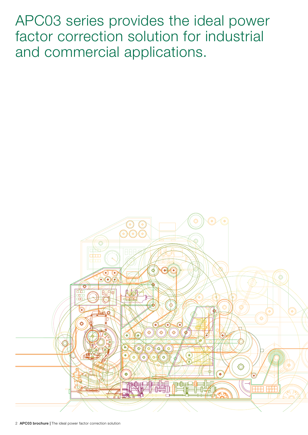APC03 series provides the ideal power factor correction solution for industrial and commercial applications.



2 APC03 brochure | The ideal power factor correction solution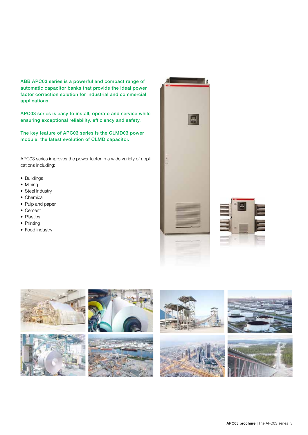ABB APC03 series is a powerful and compact range of automatic capacitor banks that provide the ideal power factor correction solution for industrial and commercial applications.

APC03 series is easy to install, operate and service while ensuring exceptional reliability, efficiency and safety.

The key feature of APC03 series is the CLMD03 power module, the latest evolution of CLMD capacitor.

APC03 series improves the power factor in a wide variety of applications including:

- Buildings
- Mining
- Steel industry
- Chemical
- Pulp and paper
- • Cement
- Plastics
- Printing
- Food industry





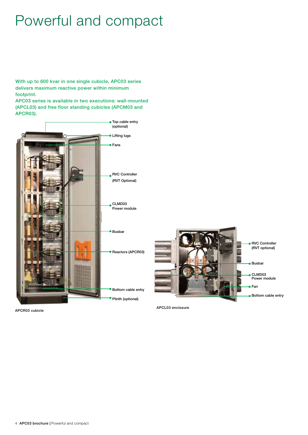### Powerful and compact

With up to 600 kvar in one single cubicle, APC03 series delivers maximum reactive power within minimum footprint.

APC03 series is available in two executions: wall-mounted (APCL03) and free floor standing cubicles (APCM03 and APCR03).



APCR03 cubicle

APCL03 enclosure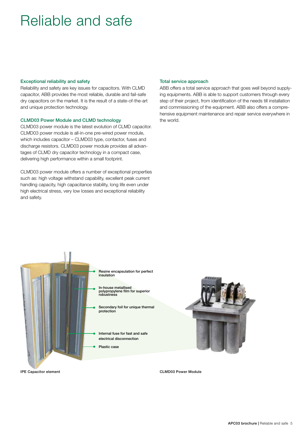### Reliable and safe

#### Exceptional reliability and safety

Reliability and safety are key issues for capacitors. With CLMD capacitor, ABB provides the most reliable, durable and fail-safe dry capacitors on the market. It is the result of a state-of-the-art and unique protection technology.

#### CLMD03 Power Module and CLMD technology

CLMD03 power module is the latest evolution of CLMD capacitor. CLMD03 power module is all-in-one pre-wired power module, which includes capacitor – CLMD03 type, contactor, fuses and discharge resistors. CLMD03 power module provides all advantages of CLMD dry capacitor technology in a compact case, delivering high performance within a small footprint.

CLMD03 power module offers a number of exceptional properties such as: high voltage withstand capability, excellent peak current handling capacity, high capacitance stability, long life even under high electrical stress, very low losses and exceptional reliability and safety.

#### Total service approach

ABB offers a total service approach that goes well beyond supplying equipments. ABB is able to support customers through every step of their project, from identification of the needs till installation and commissioning of the equipment. ABB also offers a comprehensive equipment maintenance and repair service everywhere in the world.



Resine encapsulation for perfect insulation

In-house metallised polypropylene film for superior robustness

Secondary foil for unique thermal protection

Internal fuse for fast and safe electrical disconnection

Plastic case



CLMD03 Power Module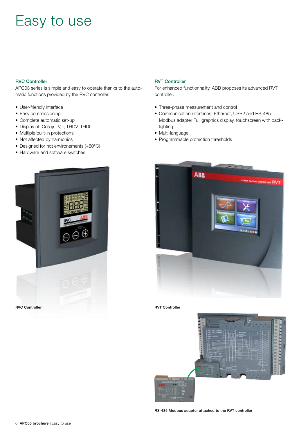## Easy to use

#### RVC Controller

APC03 series is simple and easy to operate thanks to the automatic functions provided by the RVC controller:

- User-friendly interface
- Easy commissioning
- Complete automatic set-up
- $\bullet$  Display of: Cos  $\varphi$  , V, I, THDV, THDI
- Multiple built-in protections
- Not affected by harmonics
- Designed for hot environements (+60°C)
- Hardware and software switches



#### RVT Controller

For enhanced functionnality, ABB proposes its advanced RVT controller:

- Three-phase measurement and control
- Communication interfaces: Ethernet, USB2 and RS-485 Modbus adapter Full graphics display, touchscreen with backlighting
- Multi-language
- Programmable protection thresholds





RS-485 Modbus adapter attached to the RVT controller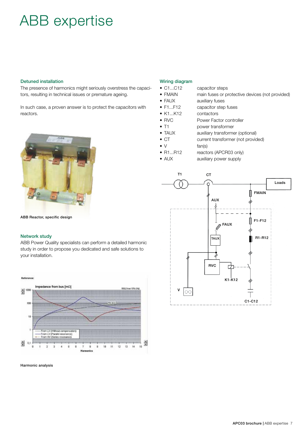## ABB expertise

#### Detuned installation

The presence of harmonics might seriously overstress the capacitors, resulting in technical issues or premature ageing.

In such case, a proven answer is to protect the capacitors with reactors.



ABB Reactor, specific design

#### Network study

ABB Power Quality specialists can perform a detailed harmonic study in order to propose you dedicated and safe solutions to your installation.



#### Harmonic analysis

#### Wiring diagram

- C1...C12 capacitor steps
- FMAIN main fuses or protective devices (not provided)
- FAUX auxiliary fuses
- F1...F12 capacitor step fuses
- K1...K12 contactors
- RVC Power Factor controller
- T1 power transformer
- TAUX auxiliary transformer (optional)
- CT current transformer (not provided)
- $\bullet \quad \vee$  fan(s)
- R1...R12 reactors (APCR03 only)
- AUX auxiliary power supply

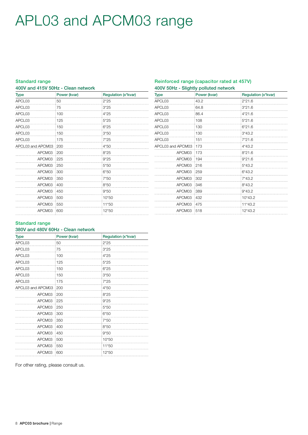# APL03 and APCM03 range

#### Standard range

400V and 415V 50Hz - Clean network

| <b>Type</b>       | Power (kvar) | Regulation (x*kvar) |  |
|-------------------|--------------|---------------------|--|
| APCL03            | 50           | $2*25$              |  |
| APCL03            | 75           | $3*25$              |  |
| APCL03            | 100          | $4*25$              |  |
| APCL03            | 125          | $5*25$              |  |
| APCL03            | 150          | $6*25$              |  |
| APCL03            | 150          | $3*50$              |  |
| APCL03            | 175          | $7*25$              |  |
| APCL03 and APCM03 | : 200        | $4*50$              |  |
| APCM03            | 200          | $8*25$              |  |
| APCM03            | 225          | $9*25$              |  |
| APCM03            | 250          | $5*50$              |  |
| APCM03            | 300          | $6*50$              |  |
| APCM03            | 350          | $7*50$              |  |
| APCM03            | 400          | $8*50$              |  |
| APCM03            | 450          | $9*50$              |  |
| APCM03            | 500          | 10*50               |  |
| APCM03            | 550          | 11*50               |  |
| APCM03            | 600          | 12*50               |  |

#### Reinforced range (capacitor rated at 457V) 400V 50Hz - Slightly polluted network

| <b>Type</b>       | Power (kvar) | Regulation (x*kvar) |  |
|-------------------|--------------|---------------------|--|
| APCL03            | 43.2         | $2*21.6$            |  |
| APCL03            | 64.8         | $3*21.6$            |  |
| APCL03            | 86.4         | $4*21.6$            |  |
| APCL03            | 108          | $5*21.6$            |  |
| APCL03            | 130          | $6*21.6$            |  |
| APCL03            | 130          | $3*43.2$            |  |
| APCL03            | 151          | $7*21.6$            |  |
| APCL03 and APCM03 | 173          | 4*43.2              |  |
| APCM03            | 173          | $8*21.6$            |  |
| APCM03            | :194         | $9*21.6$            |  |
| APCM03            | 216          | $5*43.2$            |  |
| APCM03            | 259          | $6*43.2$            |  |
| APCM03            | 302          | $7*43.2$            |  |
| APCM03            | 346          | $8*43.2$            |  |
| APCM03            | :389         | $9*43.2$            |  |
| APCM03            | 432          | 10*43.2             |  |
| APCM03            | 475          | 11*43.2             |  |
| APCM03            | 518          | $12*43.2$           |  |

#### Standard range

#### 380V and 480V 60Hz - Clean network

| <b>Type</b>       | Power (kvar) | Regulation (x*kvar) |  |
|-------------------|--------------|---------------------|--|
| APCL03            | 50           | $2*25$              |  |
| APCL03            | 75           | $3*25$              |  |
| APCL03            | 100          | $4*25$              |  |
| APCL03            | 125          | $5*25$              |  |
| APCL03            | 150          | $6*25$              |  |
| APCL03            | 150          | $3*50$              |  |
| APCL03            | 175          | $7*25$              |  |
| APCL03 and APCM03 | 200          | 4*50                |  |
| APCM03            | 200          | $8*25$              |  |
| APCM03            | 225          | $9*25$              |  |
| APCM03            | 250          | $5*50$              |  |
| APCM03            | 300          | $6*50$              |  |
| APCM03            | 350          | 7*50                |  |
| APCM03            | 400          | $8*50$              |  |
| APCM03            | 450          | $9*50$              |  |
| APCM03            | 500          | 10*50               |  |
| APCM03            | 550          | 11*50               |  |
| APCM03            | 600          | 12*50               |  |

For other rating, please consult us.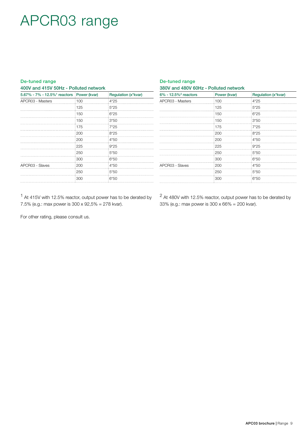### APCR03 range

#### De-tuned range 400V and 415V 50Hz - Polluted network

| 5.67% - 7% - 12.5% <sup>1</sup> reactors Power (kvar) |     | Regulation (x*kvar) |  |
|-------------------------------------------------------|-----|---------------------|--|
| APCR03 - Masters                                      | 100 | $4*25$              |  |
|                                                       | 125 | $5*25$              |  |
|                                                       | 150 | $6*25$              |  |
|                                                       | 150 | $3*50$              |  |
|                                                       | 175 | $7*25$              |  |
|                                                       | 200 | $8*25$              |  |
|                                                       | 200 | $4*50$              |  |
|                                                       | 225 | $9*25$              |  |
|                                                       | 250 | $5*50$              |  |
|                                                       | 300 | $6*50$              |  |
| APCR03 - Slaves                                       | 200 | $4*50$              |  |
|                                                       | 250 | $5*50$              |  |
|                                                       | 300 | $6*50$              |  |

| $6\% - 12.5\%$ <sup>2</sup> reactors | Power (kvar) | Regulation (x*kvar) |
|--------------------------------------|--------------|---------------------|
| APCR03 - Masters                     | 100          | $4*25$              |
|                                      | 125          | $5*25$              |
|                                      | 150          | $6*25$              |
|                                      | 150          | $3*50$              |
|                                      | 175          | $7*25$              |
|                                      | 200          | $8*25$              |
|                                      | 200          | $4*50$              |
|                                      | 225          | $9*25$              |
|                                      | 250          | $5*50$              |
|                                      | 300          | $6*50$              |
| APCR03 - Slaves                      | 200          | 4*50                |
|                                      | 250          | $5*50$              |
|                                      | 300          | $6*50$              |
|                                      |              |                     |

1 At 415V with 12.5% reactor, output power has to be derated by 7.5% (e.g.: max power is 300 x 92,5% = 278 kvar).

2 At 480V with 12.5% reactor, output power has to be derated by 33% (e.g.: max power is 300 x 66% = 200 kvar).

For other rating, please consult us.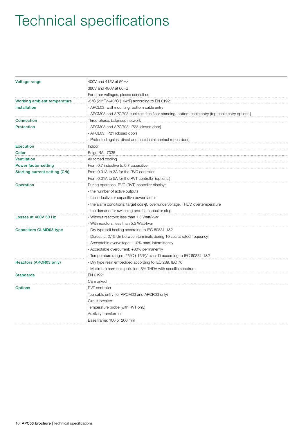# Technical specifications

| Voltage range                  | 400V and 415V at 50Hz                                                                                                                       |  |  |
|--------------------------------|---------------------------------------------------------------------------------------------------------------------------------------------|--|--|
|                                | 380V and 480V at 60Hz                                                                                                                       |  |  |
|                                | For other voltages, please consult us                                                                                                       |  |  |
| Working ambient temperature    | -5°C (23°F)/+40°C (104°F) according to EN 61921                                                                                             |  |  |
| <b>Installation</b>            | APCL03: wall mounting, bottom cable entry<br>APCM03 and APCR03 cubicles: free floor standing, bottom cable entry (top cable entry optional) |  |  |
|                                |                                                                                                                                             |  |  |
| <b>Connection</b>              | Three-phase, balanced network                                                                                                               |  |  |
| <b>Protection</b>              | APCM03 and APCR03: IP23 (closed door)                                                                                                       |  |  |
|                                | - APCL03: IP21 (closed door)                                                                                                                |  |  |
|                                | - Protected against direct and accidental contact (open door).                                                                              |  |  |
| <b>Execution</b>               | Indoor                                                                                                                                      |  |  |
| Color                          | Beige RAL 7035                                                                                                                              |  |  |
| <b>Ventilation</b>             | Air forced cooling                                                                                                                          |  |  |
| Power factor setting           | From 0.7 inductive to 0.7 capacitive                                                                                                        |  |  |
| Starting current setting (C/k) | From 0.01A to 3A for the RVC controller                                                                                                     |  |  |
|                                | From 0.01A to 5A for the RVT controller (optional)                                                                                          |  |  |
| Operation                      | During operation, RVC (RVT) controller displays:                                                                                            |  |  |
|                                | - the number of active outputs                                                                                                              |  |  |
|                                | the inductive or capacitive power factor                                                                                                    |  |  |
|                                | - the alarm conditions; target cos $\varphi$ , over/undervoltage, THDV, overtemperature                                                     |  |  |
|                                | the demand for switching on/off a capacitor step                                                                                            |  |  |
| Losses at 400V 50 Hz           | Without reactors: less than 1.5 Watt/kvar                                                                                                   |  |  |
|                                | With reactors: less than 5.5 Watt/kvar                                                                                                      |  |  |
| Capacitors CLMD03 type         | Dry type self healing according to IEC 60831-1&2                                                                                            |  |  |
|                                | Dielectric: 2.15 Un between terminals during 10 sec at rated frequency                                                                      |  |  |
|                                | Acceptable overvoltage: +10% max. intermittently                                                                                            |  |  |
|                                | Acceptable overcurrent: +30% permanently                                                                                                    |  |  |
|                                | Temperature range: -25°C (-13°F)/ class D according to IEC 60831-1&2                                                                        |  |  |
| Reactors (APCR03 only)         | Dry type resin embedded according to IEC 289, IEC 76                                                                                        |  |  |
|                                | Maximum harmonic pollution: 8% THDV with specific spectrum                                                                                  |  |  |
| <b>Standards</b>               | EN 61921                                                                                                                                    |  |  |
|                                | CE marked                                                                                                                                   |  |  |
| <b>Options</b>                 | <b>RVT</b> controller                                                                                                                       |  |  |
|                                | Top cable entry (for APCM03 and APCR03 only)                                                                                                |  |  |
|                                | Circuit breaker                                                                                                                             |  |  |
|                                | Temperature probe (with RVT only)                                                                                                           |  |  |
|                                | Auxiliary transformer                                                                                                                       |  |  |
|                                | Base frame: 100 or 200 mm                                                                                                                   |  |  |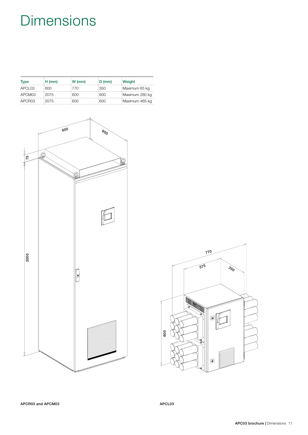# **Dimensions**

| <b>Type</b> | $H \, (mm)$ | W(mm) | D (mm) | Weight         |
|-------------|-------------|-------|--------|----------------|
| APCL03      | :600        | 1770  | :350   | Maximum 65 kg  |
| APCM03      | 12075       | 1600  | :600   | Maximum 280 kg |
| APCR03      | :2075       | : 600 | :600   | Maximum 465 kg |